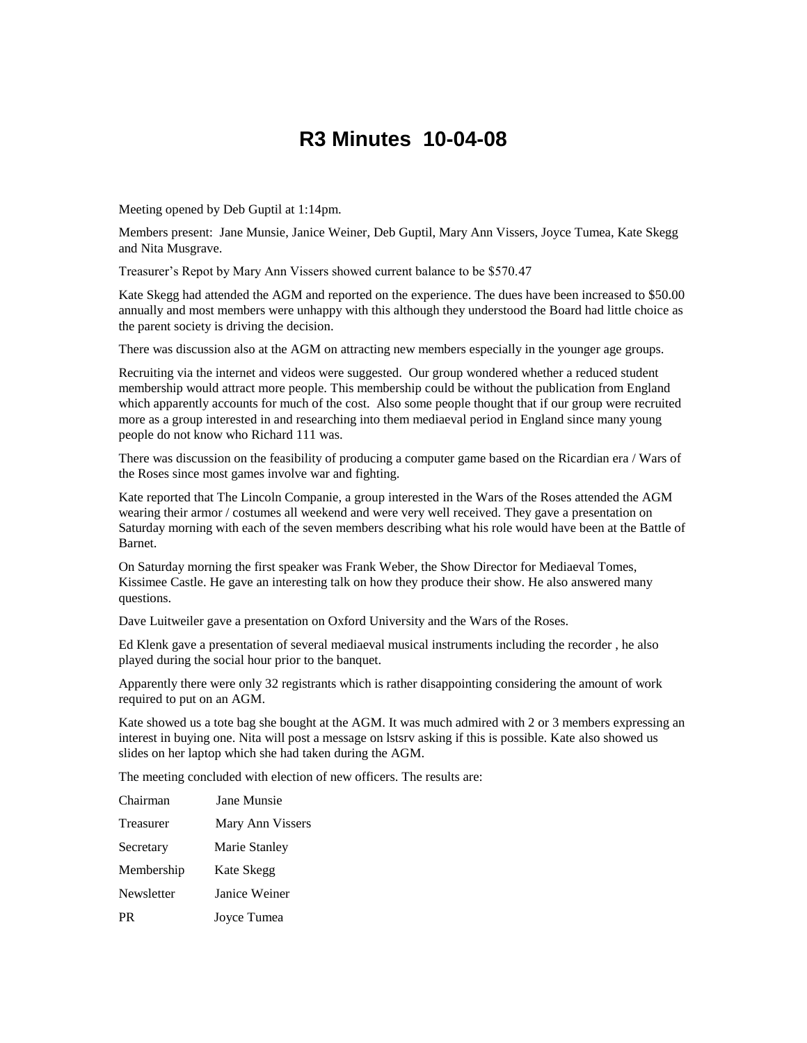## **R3 Minutes 10-04-08**

Meeting opened by Deb Guptil at 1:14pm.

Members present: Jane Munsie, Janice Weiner, Deb Guptil, Mary Ann Vissers, Joyce Tumea, Kate Skegg and Nita Musgrave.

Treasurer's Repot by Mary Ann Vissers showed current balance to be \$570.47

Kate Skegg had attended the AGM and reported on the experience. The dues have been increased to \$50.00 annually and most members were unhappy with this although they understood the Board had little choice as the parent society is driving the decision.

There was discussion also at the AGM on attracting new members especially in the younger age groups.

Recruiting via the internet and videos were suggested. Our group wondered whether a reduced student membership would attract more people. This membership could be without the publication from England which apparently accounts for much of the cost. Also some people thought that if our group were recruited more as a group interested in and researching into them mediaeval period in England since many young people do not know who Richard 111 was.

There was discussion on the feasibility of producing a computer game based on the Ricardian era / Wars of the Roses since most games involve war and fighting.

Kate reported that The Lincoln Companie, a group interested in the Wars of the Roses attended the AGM wearing their armor / costumes all weekend and were very well received. They gave a presentation on Saturday morning with each of the seven members describing what his role would have been at the Battle of Barnet.

On Saturday morning the first speaker was Frank Weber, the Show Director for Mediaeval Tomes, Kissimee Castle. He gave an interesting talk on how they produce their show. He also answered many questions.

Dave Luitweiler gave a presentation on Oxford University and the Wars of the Roses.

Ed Klenk gave a presentation of several mediaeval musical instruments including the recorder , he also played during the social hour prior to the banquet.

Apparently there were only 32 registrants which is rather disappointing considering the amount of work required to put on an AGM.

Kate showed us a tote bag she bought at the AGM. It was much admired with 2 or 3 members expressing an interest in buying one. Nita will post a message on lstsrv asking if this is possible. Kate also showed us slides on her laptop which she had taken during the AGM.

The meeting concluded with election of new officers. The results are:

| Chairman   | <b>Jane Munsie</b> |
|------------|--------------------|
| Treasurer  | Mary Ann Vissers   |
| Secretary  | Marie Stanley      |
| Membership | Kate Skegg         |
| Newsletter | Janice Weiner      |
| PR         | Joyce Tumea        |
|            |                    |